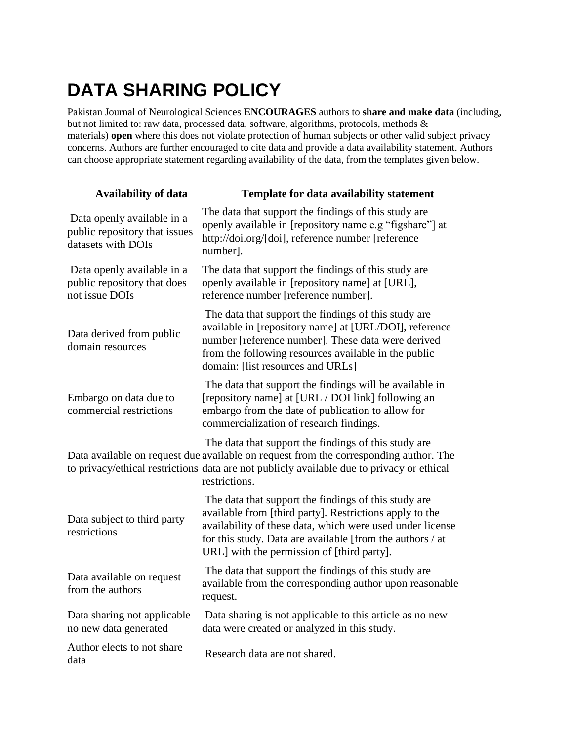## **DATA SHARING POLICY**

Pakistan Journal of Neurological Sciences **ENCOURAGES** authors to **share and make data** (including, but not limited to: raw data, processed data, software, algorithms, protocols, methods & materials) **open** where this does not violate protection of human subjects or other valid subject privacy concerns. Authors are further encouraged to cite data and provide a data availability statement. Authors can choose appropriate statement regarding availability of the data, from the templates given below.

| <b>Availability of data</b>                                                       | Template for data availability statement                                                                                                                                                                                                                                                |
|-----------------------------------------------------------------------------------|-----------------------------------------------------------------------------------------------------------------------------------------------------------------------------------------------------------------------------------------------------------------------------------------|
| Data openly available in a<br>public repository that issues<br>datasets with DOIs | The data that support the findings of this study are<br>openly available in [repository name e.g "figshare"] at<br>http://doi.org/[doi], reference number [reference<br>number].                                                                                                        |
| Data openly available in a<br>public repository that does<br>not issue DOIs       | The data that support the findings of this study are<br>openly available in [repository name] at [URL],<br>reference number [reference number].                                                                                                                                         |
| Data derived from public<br>domain resources                                      | The data that support the findings of this study are<br>available in [repository name] at [URL/DOI], reference<br>number [reference number]. These data were derived<br>from the following resources available in the public<br>domain: [list resources and URLs]                       |
| Embargo on data due to<br>commercial restrictions                                 | The data that support the findings will be available in<br>[repository name] at [URL / DOI link] following an<br>embargo from the date of publication to allow for<br>commercialization of research findings.                                                                           |
|                                                                                   | The data that support the findings of this study are<br>Data available on request due available on request from the corresponding author. The<br>to privacy/ethical restrictions data are not publicly available due to privacy or ethical<br>restrictions.                             |
| Data subject to third party<br>restrictions                                       | The data that support the findings of this study are<br>available from [third party]. Restrictions apply to the<br>availability of these data, which were used under license<br>for this study. Data are available [from the authors / at<br>URL] with the permission of [third party]. |
| Data available on request<br>from the authors                                     | The data that support the findings of this study are<br>available from the corresponding author upon reasonable<br>request.                                                                                                                                                             |
| no new data generated                                                             | Data sharing not applicable – Data sharing is not applicable to this article as no new<br>data were created or analyzed in this study.                                                                                                                                                  |
| Author elects to not share<br>data                                                | Research data are not shared.                                                                                                                                                                                                                                                           |